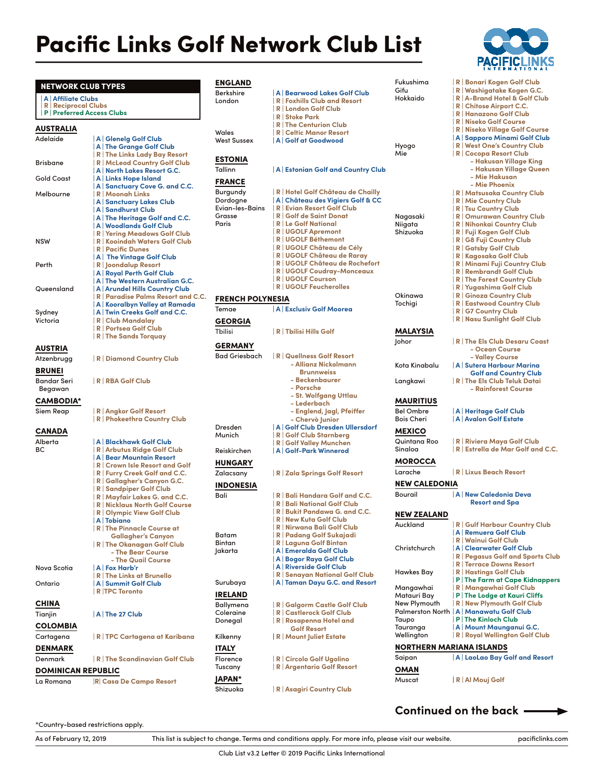## Pacific Links Golf Network Club List



| <b>NETWORK CLUB TYPES</b>                        |                                                                            | <b>ENGLAND</b>          |                                                                                                                       | Fukushin               |
|--------------------------------------------------|----------------------------------------------------------------------------|-------------------------|-----------------------------------------------------------------------------------------------------------------------|------------------------|
| A   Affiliate Clubs<br><b>R</b> Reciprocal Clubs | <b>P</b> Preferred Access Clubs                                            | Berkshire<br>London     | A Bearwood Lakes Golf Club<br><b>R</b> Foxhills Club and Resort<br><b>R</b>   London Golf Club<br><b>R</b> Stoke Park | Gifu<br><b>Hokkaid</b> |
|                                                  |                                                                            |                         | <b>R The Centurion Club</b>                                                                                           |                        |
| <b>AUSTRALIA</b>                                 |                                                                            | Wales                   | <b>R</b>   Celtic Manor Resort                                                                                        |                        |
| Adelaide                                         | A   Glenelg Golf Club<br>A The Grange Golf Club                            | <b>West Sussex</b>      | A Golf at Goodwood                                                                                                    | Hyogo                  |
|                                                  | R   The Links Lady Bay Resort                                              |                         |                                                                                                                       | Mie                    |
| <b>Brisbane</b>                                  | R   McLeod Country Golf Club                                               | <b>ESTONIA</b>          |                                                                                                                       |                        |
|                                                  | A   North Lakes Resort G.C.                                                | Tallinn                 | A Estonian Golf and Country Club                                                                                      |                        |
| <b>Gold Coast</b>                                | A Links Hope Island                                                        | <b>FRANCE</b>           |                                                                                                                       |                        |
| Melbourne                                        | A Sanctuary Cove G. and C.C.<br><b>R</b>   Moonah Links                    | Burgundy                | R Hotel Golf Château de Chailly                                                                                       |                        |
|                                                  | A Sanctuary Lakes Club                                                     | Dordogne                | A Château des Vigiers Golf & CC                                                                                       |                        |
|                                                  | A   Sandhurst Club                                                         | Evian-les-Bains         | <b>R Evian Resort Golf Club</b><br><b>R</b> Golf de Saint Donat                                                       |                        |
|                                                  | A The Heritage Golf and C.C.                                               | Grasse<br>Paris         | <b>R</b>   Le Golf National                                                                                           | Nagasal<br>Niigata     |
|                                                  | A   Woodlands Golf Club<br>R Yering Meadows Golf Club                      |                         | <b>R   UGOLF Apremont</b>                                                                                             | Shizuoko               |
| <b>NSW</b>                                       | R   Kooindah Waters Golf Club                                              |                         | R UGOLF Béthemont                                                                                                     |                        |
|                                                  | <b>R</b> Pacific Dunes                                                     |                         | R UGOLF Château de Cély                                                                                               |                        |
|                                                  | A The Vintage Golf Club                                                    |                         | R   UGOLF Château de Raray<br>R UGOLF Château de Rochefort                                                            |                        |
| Perth                                            | R   Joondalup Resort<br>A Royal Perth Golf Club                            |                         | R   UGOLF Coudray-Monceaux                                                                                            |                        |
|                                                  | A The Western Australian G.C.                                              |                         | <b>R   UGOLF Courson</b>                                                                                              |                        |
| Queensland                                       | A   Arundel Hills Country Club                                             |                         | R   UGOLF Feucherolles                                                                                                |                        |
|                                                  | R   Paradise Palms Resort and C.C.                                         | <b>FRENCH POLYNESIA</b> |                                                                                                                       | Okinawo                |
|                                                  | A   Kooralbyn Valley at Ramada                                             | Temae                   | <b>A Exclusiv Golf Moorea</b>                                                                                         | Tochigi                |
| Sydney<br>Victoria                               | A Twin Creeks Golf and C.C.<br><b>R   Club Mandalav</b>                    |                         |                                                                                                                       |                        |
|                                                  | R   Portsea Golf Club                                                      | <b>GEORGIA</b>          |                                                                                                                       |                        |
|                                                  | R The Sands Torquay                                                        | Tbilisi                 | R Tbilisi Hills Golf                                                                                                  | MALAY                  |
| <b>AUSTRIA</b>                                   |                                                                            | GERMANY                 |                                                                                                                       | Johor                  |
| Atzenbrugg                                       | R   Diamond Country Club                                                   | Bad Griesbach           | R   Quellness Golf Resort                                                                                             |                        |
|                                                  |                                                                            |                         | - Allianz Nickolmann                                                                                                  | Kota Kin               |
| <b>BRUNEI</b>                                    |                                                                            |                         | <b>Brunnweiss</b>                                                                                                     |                        |
| Bandar Seri                                      | R RBA Golf Club                                                            |                         | - Beckenbaurer<br>- Porsche                                                                                           | Langkav                |
| Begawan                                          |                                                                            |                         | - St. Wolfgang Uttlau                                                                                                 |                        |
| <b>CAMBODIA*</b>                                 |                                                                            |                         | - Lederbach                                                                                                           | <b>MAURI</b>           |
| Siem Reap                                        | R   Angkor Golf Resort                                                     |                         | - Englend, Jagl, Pfeiffer                                                                                             | <b>Bel Omb</b>         |
|                                                  | R   Phokeethra Country Club                                                |                         | - Chervò Junior                                                                                                       | Bois Che               |
| CANADA                                           |                                                                            | Dresden<br>Munich       | A Golf Club Dresden Ullersdorf<br><b>R Golf Club Starnberg</b>                                                        | <b>MEXIC</b>           |
| Alberta                                          | A   Blackhawk Golf Club                                                    |                         | R Golf Valley Munchen                                                                                                 | Quintan                |
| BС                                               | R   Arbutus Ridge Golf Club                                                | Reiskirchen             | A Golf-Park Winnerod                                                                                                  | Sinaloa                |
|                                                  | A   Bear Mountain Resort<br><b>R Crown Isle Resort and Golf</b>            | <b>HUNGARY</b>          |                                                                                                                       | <b>MORO</b>            |
|                                                  | R   Furry Creek Golf and C.C.                                              | Zalacsany               | R Zala Springs Golf Resort                                                                                            | Larache                |
|                                                  | R Gallagher's Canyon G.C.                                                  |                         |                                                                                                                       | <b>NEW C/</b>          |
|                                                  | <b>R</b> Sandpiper Golf Club                                               | <b>INDONESIA</b>        |                                                                                                                       | Bourail                |
|                                                  | R   Mayfair Lakes G. and C.C.                                              | Bali                    | R Bali Handara Golf and C.C.<br><b>R Bali National Golf Club</b>                                                      |                        |
|                                                  | <b>R</b>   Nicklaus North Golf Course<br><b>R</b>   Olympic View Golf Club |                         | R Bukit Pandawa G. and C.C.                                                                                           | <b>NEW ZE</b>          |
|                                                  | A   Tobiano                                                                |                         | R   New Kuta Golf Club                                                                                                |                        |
|                                                  | R   The Pinnacle Course at                                                 |                         | R   Nirwana Bali Golf Club                                                                                            | Aucklan                |
|                                                  | <b>Gallagher's Canyon</b>                                                  | Batam                   | R   Padang Golf Sukajadi                                                                                              |                        |
|                                                  | <b>R</b> The Okanagan Golf Club<br>- The Bear Course                       | Bintan<br>Jakarta       | R   Laguna Golf Bintan<br>  A   Emeralda Golf Club                                                                    | Christch               |
|                                                  | - The Quail Course                                                         |                         | A   Bogor Raya Golf Club                                                                                              |                        |
| Nova Scotia                                      | A   Fox Harb'r                                                             |                         | A Riverside Golf Club                                                                                                 |                        |
|                                                  | <b>R</b> The Links at Brunello                                             |                         | <b>R</b> Senayan National Golf Club                                                                                   | Hawkes                 |
| Ontario                                          | A Summit Golf Club                                                         | Surubaya                | A Taman Dayu G.C. and Resort                                                                                          | Mangav                 |
|                                                  | R TPC Toronto                                                              | <b>IRELAND</b>          |                                                                                                                       | Matauri                |
| CHINA                                            |                                                                            | Ballymena               | R Galgorm Castle Golf Club                                                                                            | New Plyr               |
| Tianjin                                          | $ A $ The 27 Club                                                          | Coleraine               | R   Castlerock Golf Club                                                                                              | <b>Palmers</b>         |
| <b>COLOMBIA</b>                                  |                                                                            | Donegal                 | R Rosapenna Hotel and                                                                                                 | Taupo<br>Taurang       |
| Cartagena                                        | R   TPC Cartagena at Karibana                                              | Kilkenny                | <b>Golf Resort</b><br>R   Mount Juliet Estate                                                                         | Wellingt               |
|                                                  |                                                                            |                         |                                                                                                                       | NORTH                  |
| <b>DENMARK</b>                                   |                                                                            | ITALY                   |                                                                                                                       |                        |
| Denmark                                          | R The Scandinavian Golf Club                                               | Florence                | R   Circolo Golf Ugolino<br>R   Argentario Golf Resort                                                                | Saipan                 |
| <b>DOMINICAN REPUBLIC</b>                        |                                                                            | Tuscany                 |                                                                                                                       | OMAN                   |
| La Romana                                        | R Casa De Campo Resort                                                     | JAPAN*                  |                                                                                                                       | Muscat                 |
|                                                  |                                                                            | Shizuoka                | R   Asagiri Country Club                                                                                              |                        |

|                             | <b>PACIFICLINKS</b>                                      |
|-----------------------------|----------------------------------------------------------|
| Fukushima                   | R   Bonari Kogen Golf Club                               |
| Gifu                        | R Washigatake Kogen G.C.                                 |
| Hokkaido                    | R   A-Brand Hotel & Golf Club                            |
|                             | R   Chitose Airport C.C.<br>R   Hanazono Golf Club       |
|                             | R   Niseko Golf Course                                   |
|                             | R   Niseko Village Golf Course                           |
|                             | A Sapporo Minami Golf Club                               |
| Hyogo                       | R   West One's Country Club                              |
| Mie                         | R Cocopa Resort Club                                     |
|                             | - Hakusan Village King                                   |
|                             | - Hakusan Village Queen<br>- Mie Hakusan                 |
|                             | - Mie Phoenix                                            |
|                             | R   Matsusaka Country Club                               |
|                             | R   Mie Country Club                                     |
|                             | R Tsu Country Club                                       |
| Nagasaki                    | R   Omurawan Country Club                                |
| Niigata                     | R   Nihonkai Country Club                                |
| Shizuoka                    | R   Fuji Kogen Golf Club                                 |
|                             | R G8 Fuji Country Club                                   |
|                             | R Gatsby Golf Club<br>R   Kagosaka Golf Club             |
|                             | R   Minami Fuji Country Club                             |
|                             | R   Rembrandt Golf Club                                  |
|                             | R The Forest Country Club                                |
|                             | R   Yugashima Golf Club                                  |
| Okinawa                     | R Ginoza Country Club                                    |
| Tochigi                     | R   Eastwood Country Club                                |
|                             | R G7 Country Club<br>R   Nasu Sunlight Golf Club         |
|                             |                                                          |
| MALAYSIA                    |                                                          |
| Johor                       | R   The Els Club Desaru Coast                            |
|                             | - Ocean Course                                           |
|                             | - Valley Course                                          |
| Kota Kinabalu               | A Sutera Harbour Marina<br><b>Golf and Country Club</b>  |
| Langkawi                    | R The Els Club Teluk Datai                               |
|                             | - Rainforest Course                                      |
|                             |                                                          |
| MAURITIUS                   |                                                          |
| Bel Ombre                   | A   Heritage Golf Club                                   |
| Bois Cheri                  | A Avalon Golf Estate                                     |
| MEXICO                      |                                                          |
| Quintana Roo                | R   Riviera Maya Golf Club                               |
| Sinaloa                     | R   Estrella de Mar Golf and C.C.                        |
| MOROCCA                     |                                                          |
| Larache                     |                                                          |
|                             | R   Lixus Beach Resort                                   |
| NEW CALEDONIA               |                                                          |
| Bourail                     | <b>A New Caledonia Deva</b>                              |
|                             | <b>Resort and Spa</b>                                    |
| NEW ZEALAND                 |                                                          |
| Auckland                    | R Gulf Harbour Country Club                              |
|                             | A Remuera Golf Club                                      |
|                             | R   Wainui Golf Club                                     |
| Christchurch                | A Clearwater Golf Club                                   |
|                             | R   Pegasus Golf and Sports Club                         |
|                             | R Terrace Downs Resort                                   |
| Hawkes Bay                  | R   Hastings Golf Club                                   |
|                             | P The Farm at Cape Kidnappers                            |
| Mangawhai                   | R   Mangawhai Golf Club<br>P   The Lodge at Kauri Cliffs |
| Matauri Bay<br>New Plymouth | R New Plymouth Golf Club                                 |
|                             | Palmerston North   A   Manawatu Golf Club                |
| Taupo                       | P   The Kinloch Club                                     |

- Tauranga **| A | Mount Maunganui G.C.**
	- Wellington **| R | Royal Wellington Golf Club** RTHERN MARIANA ISLANDS

| Saipan | A LaoLao Bay Golf and Resort |
|--------|------------------------------|
| OMAN   |                              |
| Muscat | R Al Mouj Golf               |

## **Continued on the back**

\*Country-based restrictions apply.

As of February 12, 2019 This list is subject to change. Terms and conditions apply. For more info, please visit our website. pacificlinks.com